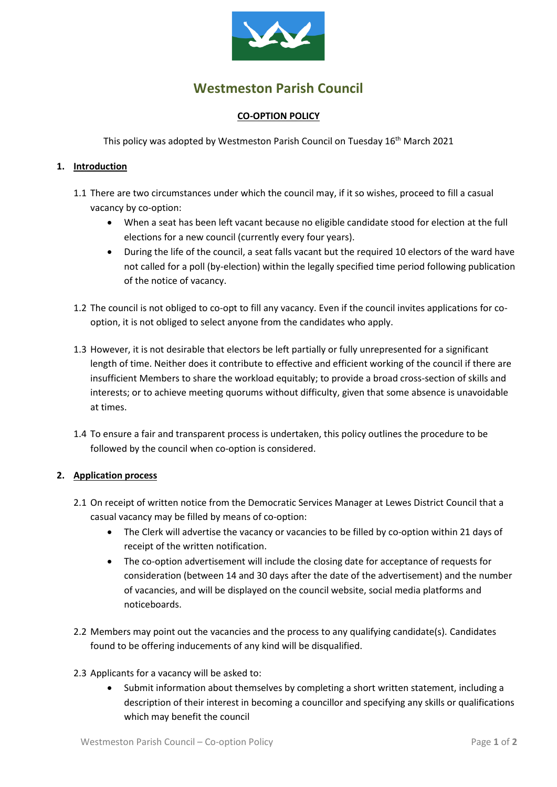

# **Westmeston Parish Council**

### **CO-OPTION POLICY**

This policy was adopted by Westmeston Parish Council on Tuesday 16<sup>th</sup> March 2021

#### **1. Introduction**

- 1.1 There are two circumstances under which the council may, if it so wishes, proceed to fill a casual vacancy by co-option:
	- When a seat has been left vacant because no eligible candidate stood for election at the full elections for a new council (currently every four years).
	- During the life of the council, a seat falls vacant but the required 10 electors of the ward have not called for a poll (by-election) within the legally specified time period following publication of the notice of vacancy.
- 1.2 The council is not obliged to co-opt to fill any vacancy. Even if the council invites applications for cooption, it is not obliged to select anyone from the candidates who apply.
- 1.3 However, it is not desirable that electors be left partially or fully unrepresented for a significant length of time. Neither does it contribute to effective and efficient working of the council if there are insufficient Members to share the workload equitably; to provide a broad cross-section of skills and interests; or to achieve meeting quorums without difficulty, given that some absence is unavoidable at times.
- 1.4 To ensure a fair and transparent process is undertaken, this policy outlines the procedure to be followed by the council when co-option is considered.

#### **2. Application process**

- 2.1 On receipt of written notice from the Democratic Services Manager at Lewes District Council that a casual vacancy may be filled by means of co-option:
	- The Clerk will advertise the vacancy or vacancies to be filled by co-option within 21 days of receipt of the written notification.
	- The co-option advertisement will include the closing date for acceptance of requests for consideration (between 14 and 30 days after the date of the advertisement) and the number of vacancies, and will be displayed on the council website, social media platforms and noticeboards.
- 2.2 Members may point out the vacancies and the process to any qualifying candidate(s). Candidates found to be offering inducements of any kind will be disqualified.
- 2.3 Applicants for a vacancy will be asked to:
	- Submit information about themselves by completing a short written statement, including a description of their interest in becoming a councillor and specifying any skills or qualifications which may benefit the council